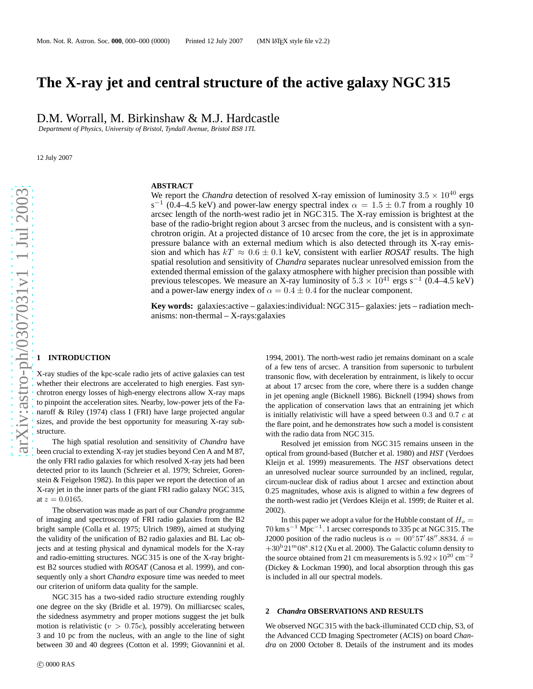# **The X-ray jet and central structure of the active galaxy NGC 315**

D.M. Worrall, M. Birkinshaw & M.J. Hardcastle

*Department of Physics, University of Bristol, Tyndall Avenue, Bristol BS8 1TL*

12 July 2007

### **ABSTRACT**

We report the *Chandra* detection of resolved X-ray emission of luminosity  $3.5 \times 10^{40}$  ergs s<sup>-1</sup> (0.4–4.5 keV) and power-law energy spectral index  $\alpha = 1.5 \pm 0.7$  from a roughly 10 arcsec length of the north-west radio jet in NGC 315. The X-ray emission is brightest at the base of the radio-bright region about 3 arcsec from the nucleus, and is consistent with a synchrotron origin. At a projected distance of 10 arcsec from the core, the jet is in approximate pressure balance with an external medium which is also detected through its X-ray emission and which has  $kT \approx 0.6 \pm 0.1$  keV, consistent with earlier *ROSAT* results. The high spatial resolution and sensitivity of *Chandra* separates nuclear unresolved emission from the extended thermal emission of the galaxy atmosphere with higher precision than possible with previous telescopes. We measure an X-ray luminosity of  $5.3 \times 10^{41}$  ergs s<sup>-1</sup> (0.4–4.5 keV) and a power-law energy index of  $\alpha = 0.4 \pm 0.4$  for the nuclear component.

**Key words:** galaxies:active – galaxies:individual: NGC 315– galaxies: jets – radiation mechanisms: non-thermal – X-rays:galaxies

## **1 INTRODUCTION**

X-ray studies of the kpc-scale radio jets of active galaxies can test whether their electrons are accelerated to high energies. Fast synchrotron energy losses of high-energy electrons allow X-ray maps to pinpoint the acceleration sites. Nearby, low-power jets of the Fanaroff & Riley (1974) class I (FRI) have large projected angular sizes, and provide the best opportunity for measuring X-ray substructure.

The high spatial resolution and sensitivity of *Chandra* have been crucial to extending X-ray jet studies beyond Cen A and M 87, the only FRI radio galaxies for which resolved X-ray jets had been detected prior to its launch (Schreier et al. 1979; Schreier, Gorenstein & Feigelson 1982). In this paper we report the detection of an X-ray jet in the inner parts of the giant FRI radio galaxy NGC 315, at  $z = 0.0165$ .

The observation was made as part of our *Chandra* programme of imaging and spectroscopy of FRI radio galaxies from the B2 bright sample (Colla et al. 1975; Ulrich 1989), aimed at studying the validity of the unification of B2 radio galaxies and BL Lac objects and at testing physical and dynamical models for the X-ray and radio-emitting structures. NGC 315 is one of the X-ray brightest B2 sources studied with *ROSAT* (Canosa et al. 1999), and consequently only a short *Chandra* exposure time was needed to meet our criterion of uniform data quality for the sample.

NGC 315 has a two-sided radio structure extending roughly one degree on the sky (Bridle et al. 1979). On milliarcsec scales, the sidedness asymmetry and proper motions suggest the jet bulk motion is relativistic ( $v > 0.75c$ ), possibly accelerating between 3 and 10 pc from the nucleus, with an angle to the line of sight between 30 and 40 degrees (Cotton et al. 1999; Giovannini et al.

1994, 2001). The north-west radio jet remains dominant on a scale of a few tens of arcsec. A transition from supersonic to turbulent transonic flow, with deceleration by entrainment, is likely to occur at about 17 arcsec from the core, where there is a sudden chang e in jet opening angle (Bicknell 1986). Bicknell (1994) shows from the application of conservation laws that an entraining jet which is initially relativistic will have a speed between  $0.3$  and  $0.7$   $c$  at the flare point, and he demonstrates how such a model is consistent with the radio data from NGC 315.

Resolved jet emission from NGC 315 remains unseen in the optical from ground-based (Butcher et al. 1980) and *HST* (Verdoes Kleijn et al. 1999) measurements. The *HST* observations detect an unresolved nuclear source surrounded by an inclined, regular, circum-nuclear disk of radius about 1 arcsec and extinction about 0.25 magnitudes, whose axis is aligned to within a few degrees of the north-west radio jet (Verdoes Kleijn et al. 1999; de Ruiter et al. 2002).

In this paper we adopt a value for the Hubble constant of  $H_0 =$  $70 \text{ km s}^{-1} \text{ Mpc}^{-1}$ . 1 arcsec corresponds to 335 pc at NGC 315. The J2000 position of the radio nucleus is  $\alpha = 00^{\circ}57'48''.8834. \delta =$  $+30<sup>h</sup>21<sup>m</sup>08<sup>s</sup> .812$  (Xu et al. 2000). The Galactic column density to the source obtained from 21 cm measurements is  $5.92 \times 10^{20}$  cm<sup>-2</sup> (Dickey & Lockman 1990), and local absorption through this gas is included in all our spectral models.

#### **2** *Chandra* **OBSERVATIONS AND RESULTS**

We observed NGC 315 with the back-illuminated CCD chip, S3, of the Advanced CCD Imaging Spectrometer (ACIS) on board *Chandra* on 2000 October 8. Details of the instrument and its modes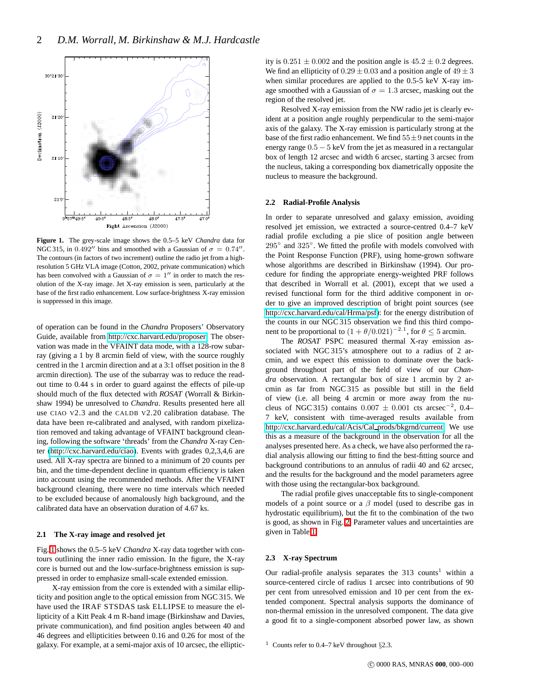

<span id="page-1-0"></span>**Figure 1.** The grey-scale image shows the 0.5–5 keV *Chandra* data for NGC 315, in 0.492 $^{\prime\prime}$  bins and smoothed with a Gaussian of  $\sigma = 0.74$  $^{\prime\prime}$ . The contours (in factors of two increment) outline the radio jet from a highresolution 5 GHz VLA image (Cotton, 2002, private communication) which has been convolved with a Gaussian of  $\sigma = 1''$  in order to match the resolution of the X-ray image. Jet X-ray emission is seen, particularly at the base of the first radio enhancement. Low surface-brightness X-ray emission is suppressed in this image.

of operation can be found in the *Chandra* Proposers' Observatory Guide, available from [http://cxc.harvard.edu/proposer.](http://cxc.harvard.edu/proposer) The observation was made in the VFAINT data mode, with a 128-row subarray (giving a 1 by 8 arcmin field of view, with the source roughly centred in the 1 arcmin direction and at a 3:1 offset position in the 8 arcmin direction). The use of the subarray was to reduce the readout time to 0.44 s in order to guard against the effects of pile-up should much of the flux detected with *ROSAT* (Worrall & Birkinshaw 1994) be unresolved to *Chandra*. Results presented here all use CIAO V2.3 and the CALDB V2.20 calibration database. The data have been re-calibrated and analysed, with random pixelization removed and taking advantage of VFAINT background cleaning, following the software 'threads' from the *Chandra* X-ray Center [\(http://cxc.harvard.edu/ciao\)](http://cxc.harvard.edu/ciao). Events with grades 0,2,3,4,6 are used. All X-ray spectra are binned to a minimum of 20 counts per bin, and the time-dependent decline in quantum efficiency is taken into account using the recommended methods. After the VFAINT background cleaning, there were no time intervals which needed to be excluded because of anomalously high background, and the calibrated data have an observation duration of 4.67 ks.

## **2.1 The X-ray image and resolved jet**

Fig. [1](#page-1-0) shows the 0.5–5 keV *Chandra* X-ray data together with contours outlining the inner radio emission. In the figure, the X-ray core is burned out and the low-surface-brightness emission is suppressed in order to emphasize small-scale extended emission.

X-ray emission from the core is extended with a similar ellipticity and position angle to the optical emission from NGC 315. We have used the IRAF STSDAS task ELLIPSE to measure the ellipticity of a Kitt Peak 4 m R-band image (Birkinshaw and Davies, private communication), and find position angles between 40 and 46 degrees and ellipticities between 0.16 and 0.26 for most of the galaxy. For example, at a semi-major axis of 10 arcsec, the ellipticity is  $0.251 \pm 0.002$  and the position angle is  $45.2 \pm 0.2$  degrees. We find an ellipticity of  $0.29 \pm 0.03$  and a position angle of  $49 \pm 3$ when similar procedures are applied to the 0.5-5 keV X-ray image smoothed with a Gaussian of  $\sigma = 1.3$  arcsec, masking out the region of the resolved jet.

Resolved X-ray emission from the NW radio jet is clearly evident at a position angle roughly perpendicular to the semi-major axis of the galaxy. The X-ray emission is particularly strong at the base of the first radio enhancement. We find  $55 \pm 9$  net counts in the energy range 0.5 − 5 keV from the jet as measured in a rectangular box of length 12 arcsec and width 6 arcsec, starting 3 arcsec from the nucleus, taking a corresponding box diametrically opposite the nucleus to measure the background.

#### **2.2 Radial-Profile Analysis**

In order to separate unresolved and galaxy emission, avoiding resolved jet emission, we extracted a source-centred 0.4–7 keV radial profile excluding a pie slice of position angle between 295<sup>°</sup> and 325<sup>°</sup>. We fitted the profile with models convolved with the Point Response Function (PRF), using home-grown software whose algorithms are described in Birkinshaw (1994). Our procedure for finding the appropriate energy-weighted PRF follows that described in Worrall et al. (2001), except that we used a revised functional form for the third additive component in order to give an improved description of bright point sources (see [http://cxc.harvard.edu/cal/Hrma/psf\)](http://cxc.harvard.edu/cal/Hrma/psf): for the energy distribution of the counts in our NGC 315 observation we find this third component to be proportional to  $(1 + \theta/0.021)^{-2.1}$ , for  $\theta \le 5$  arcmin.

The *ROSAT* PSPC measured thermal X-ray emission associated with NGC 315's atmosphere out to a radius of 2 arcmin, and we expect this emission to dominate over the background throughout part of the field of view of our *Chandra* observation. A rectangular box of size 1 arcmin by 2 arcmin as far from NGC 315 as possible but still in the field of view (i.e. all being 4 arcmin or more away from the nucleus of NGC 315) contains  $0.007 \pm 0.001$  cts arcsec<sup>-2</sup>, 0.4– 7 keV, consistent with time-averaged results available from [http://cxc.harvard.edu/cal/Acis/Cal](http://cxc.harvard.edu/cal/Acis/Cal_prods/bkgrnd/current) prods/bkgrnd/current. We use this as a measure of the background in the observation for all the analyses presented here. As a check, we have also performed the radial analysis allowing our fitting to find the best-fitting source and background contributions to an annulus of radii 40 and 62 arcsec, and the results for the background and the model parameters agree with those using the rectangular-box background.

The radial profile gives unacceptable fits to single-component models of a point source or a  $\beta$  model (used to describe gas in hydrostatic equilibrium), but the fit to the combination of the two is good, as shown in Fig. [2.](#page-2-0) Parameter values and uncertainties are given in Table [1.](#page-2-1)

#### **2.3 X-ray Spectrum**

Our radial-profile analysis separates the  $313$  counts<sup>1</sup> within a source-centered circle of radius 1 arcsec into contributions of 90 per cent from unresolved emission and 10 per cent from the extended component. Spectral analysis supports the dominance of non-thermal emission in the unresolved component. The data give a good fit to a single-component absorbed power law, as shown

<sup>1</sup> Counts refer to 0.4–7 keV throughout  $\S 2.3$ .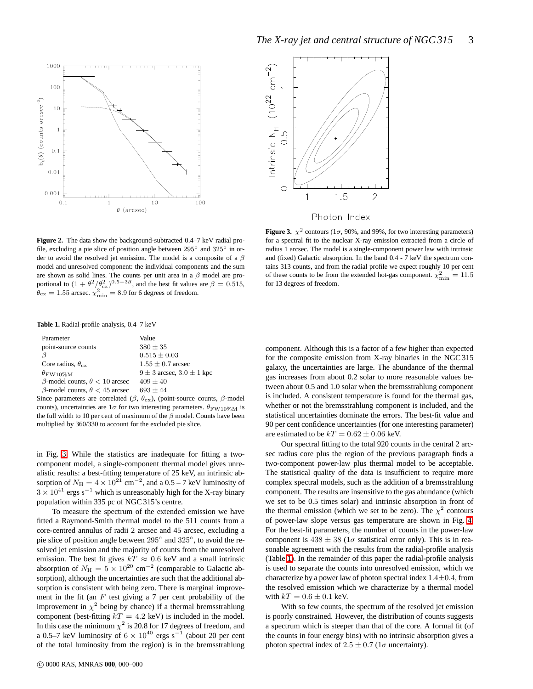



Photon Index

<span id="page-2-0"></span>**Figure 2.** The data show the background-subtracted 0.4–7 keV radial profile, excluding a pie slice of position angle between 295◦ and 325◦ in order to avoid the resolved jet emission. The model is a composite of a  $\beta$ model and unresolved component: the individual components and the sum are shown as solid lines. The counts per unit area in a  $\beta$  model are proportional to  $(1 + \theta^2/\theta_{\text{cx}}^2)^{0.5-3\beta}$ , and the best fit values are  $\beta = 0.515$ ,  $\theta_{\rm cx} = 1.55$  arcsec.  $\chi^2_{\rm min} = 8.9$  for 6 degrees of freedom.

<span id="page-2-1"></span>**Table 1.** Radial-profile analysis, 0.4–7 keV

| Parameter                                   | Value                             |
|---------------------------------------------|-----------------------------------|
| point-source counts                         | $380 \pm 35$                      |
| Β                                           | $0.515 \pm 0.03$                  |
| Core radius, $\theta_{\rm cx}$              | $1.55 \pm 0.7$ arcsec             |
| $\theta_{\rm FW10\%M}$                      | $9 \pm 3$ arcsec, $3.0 \pm 1$ kpc |
| $\beta$ -model counts, $\theta$ < 10 arcsec | $409 \pm 40$                      |
| $\beta$ -model counts, $\theta$ < 45 arcsec | $693 \pm 44$                      |

Since parameters are correlated ( $\beta$ ,  $\theta_{\text{cx}}$ ), (point-source counts,  $\beta$ -model counts), uncertainties are  $1\sigma$  for two interesting parameters.  $\theta_{\rm FW10\%M}$  is the full width to 10 per cent of maximum of the  $\beta$  model. Counts have been multiplied by 360/330 to account for the excluded pie slice.

in Fig. [3.](#page-2-2) While the statistics are inadequate for fitting a twocomponent model, a single-component thermal model gives unrealistic results: a best-fitting temperature of 25 keV, an intrinsic absorption of  $N_{\rm H} = 4 \times 10^{21}$  cm<sup>-2</sup>, and a 0.5 – 7 keV luminosity of  $3 \times 10^{41}$  ergs s<sup>-1</sup> which is unreasonably high for the X-ray binary population within 335 pc of NGC 315's centre.

To measure the spectrum of the extended emission we have fitted a Raymond-Smith thermal model to the 511 counts from a core-centred annulus of radii 2 arcsec and 45 arcsec, excluding a pie slice of position angle between 295° and 325°, to avoid the resolved jet emission and the majority of counts from the unresolved emission. The best fit gives  $kT \approx 0.6$  keV and a small intrinsic absorption of  $N_{\text{H}} = 5 \times 10^{20} \text{ cm}^{-2}$  (comparable to Galactic absorption), although the uncertainties are such that the additional absorption is consistent with being zero. There is marginal improvement in the fit (an  $F$  test giving a  $7$  per cent probability of the improvement in  $\chi^2$  being by chance) if a thermal bremsstrahlung component (best-fitting  $kT = 4.2$  keV) is included in the model. In this case the minimum  $\chi^2$  is 20.8 for 17 degrees of freedom, and a 0.5–7 keV luminosity of  $6 \times 10^{40}$  ergs s<sup>-1</sup> (about 20 per cent of the total luminosity from the region) is in the bremsstrahlung

for a spectral fit to the nuclear X-ray emission extracted from a circle of radius 1 arcsec. The model is a single-component power law with intrinsic and (fixed) Galactic absorption. In the band 0.4 - 7 keV the spectrum contains 313 counts, and from the radial profile we expect roughly 10 per cent of these counts to be from the extended hot-gas component.  $\chi^2_{\text{min}} = 11.5$ for 13 degrees of freedom.

<span id="page-2-2"></span>**Figure 3.**  $\chi^2$  contours (1 $\sigma$ , 90%, and 99%, for two interesting parameters)

component. Although this is a factor of a few higher than expected for the composite emission from X-ray binaries in the NGC 315 galaxy, the uncertainties are large. The abundance of the thermal gas increases from about 0.2 solar to more reasonable values between about 0.5 and 1.0 solar when the bremsstrahlung component is included. A consistent temperature is found for the thermal gas, whether or not the bremsstrahlung component is included, and the statistical uncertainties dominate the errors. The best-fit value and 90 per cent confidence uncertainties (for one interesting parameter) are estimated to be  $kT = 0.62 \pm 0.06$  keV.

Our spectral fitting to the total 920 counts in the central 2 arcsec radius core plus the region of the previous paragraph finds a two-component power-law plus thermal model to be acceptable. The statistical quality of the data is insufficient to require more complex spectral models, such as the addition of a bremsstrahlung component. The results are insensitive to the gas abundance (which we set to be 0.5 times solar) and intrinsic absorption in front of the thermal emission (which we set to be zero). The  $\chi^2$  contours of power-law slope versus gas temperature are shown in Fig. [4.](#page-3-0) For the best-fit parameters, the number of counts in the power-law component is  $438 \pm 38$  ( $1\sigma$  statistical error only). This is in reasonable agreement with the results from the radial-profile analysis (Table [1\)](#page-2-1). In the remainder of this paper the radial-profile analysis is used to separate the counts into unresolved emission, which we characterize by a power law of photon spectral index  $1.4 \pm 0.4$ , from the resolved emission which we characterize by a thermal model with  $kT = 0.6 \pm 0.1$  keV.

With so few counts, the spectrum of the resolved jet emission is poorly constrained. However, the distribution of counts suggests a spectrum which is steeper than that of the core. A formal fit (of the counts in four energy bins) with no intrinsic absorption gives a photon spectral index of  $2.5 \pm 0.7$  (1 $\sigma$  uncertainty).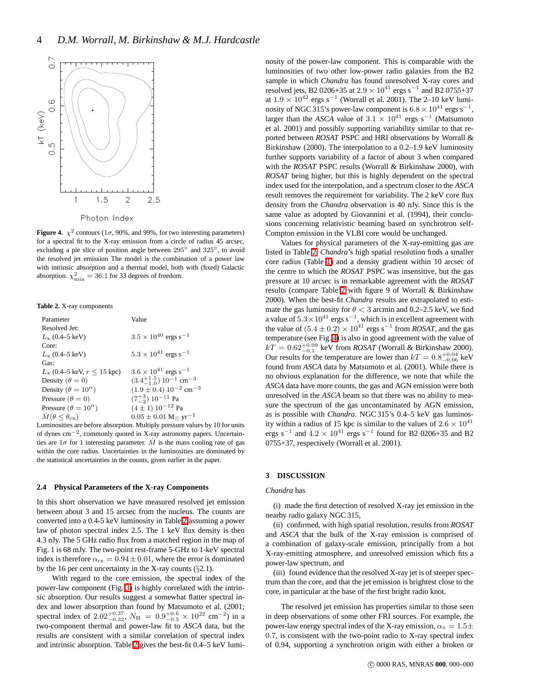

<span id="page-3-0"></span>**Figure 4.**  $\chi^2$  contours (1 $\sigma$ , 90%, and 99%, for two interesting parameters) for a spectral fit to the X-ray emission from a circle of radius 45 arcsec, excluding a pie slice of position angle between 295° and 325°, to avoid the resolved jet emission The model is the combination of a power law with intrinsic absorption and a thermal model, both with (fixed) Galactic absorption.  $\chi^2_{\text{min}} = 36.1$  for 33 degrees of freedom.

<span id="page-3-1"></span>**Table 2.** X-ray components

| Parameter                               | Value                                                            |
|-----------------------------------------|------------------------------------------------------------------|
| Resolved Jet:                           |                                                                  |
| $L_{\rm x}$ (0.4–5 keV)                 | $3.5 \times 10^{40}$ ergs s <sup>-1</sup>                        |
| Core:                                   |                                                                  |
| $L_{\rm x}$ (0.4–5 keV)                 | $5.3 \times 10^{41}$ ergs s <sup>-1</sup>                        |
| Gas:                                    |                                                                  |
| $L_{\rm x}$ (0.4–5 keV, $r \le 15$ kpc) | $3.6 \times 10^{41}$ ergs s <sup>-1</sup>                        |
| Density ( $\theta = 0$ )                | $(3.4^{+1.5}_{-1.0})$ 10 <sup>-1</sup> cm <sup>-3</sup>          |
| Density ( $\theta = 10''$ )             | $(1.9 \pm 0.4)$ 10 <sup>-2</sup> cm <sup>-3</sup>                |
| Pressure ( $\theta = 0$ )               | $(7^{+3}_{-2})$ 10 <sup>-11</sup> Pa                             |
| Pressure ( $\theta = 10''$ )            | $(4 \pm 1) 10^{-12}$ Pa                                          |
| $M(\theta \leq \theta_{\rm cx})$        | $0.05 \pm 0.01$ M <sub><math>\odot</math></sub> yr <sup>-1</sup> |

Luminosities are before absorption. Multiply pressure values by 10 for units of dynes cm−<sup>2</sup> , commonly quoted in X-ray astronomy papers. Uncertainties are  $1\sigma$  for 1 interesting parameter.  $\dot{M}$  is the mass cooling rate of gas within the core radius. Uncertainties in the luminosities are dominated by the statistical uncertainties in the counts, given earlier in the paper.

#### **2.4 Physical Parameters of the X-ray Components**

In this short observation we have measured resolved jet emission between about 3 and 15 arcsec from the nucleus. The counts are converted into a 0.4-5 keV luminosity in Table [2](#page-3-1) assuming a power law of photon spectral index 2.5. The 1 keV flux density is then 4.3 nJy. The 5 GHz radio flux from a matched region in the map of Fig. 1 is 68 mJy. The two-point rest-frame 5-GHz to 1-keV spectral index is therefore  $\alpha_{rx} = 0.94 \pm 0.01$ , where the error is dominated by the 16 per cent uncertainty in the X-ray counts (§2.1).

With regard to the core emission, the spectral index of the power-law component (Fig. [3\)](#page-2-2) is highly correlated with the intrinsic absorption. Our results suggest a somewhat flatter spectral index and lower absorption than found by Matsumoto et al. (2001; spectral index of 2.02<sup>+0.37</sup>,  $N_{\text{H}}$  = 0.9<sup>+0.6</sup> × 10<sup>22</sup> cm<sup>-2</sup>) in a two-component thermal and power-law fit to *ASCA* data, but the results are consistent with a similar correlation of spectral index and intrinsic absorption. Table [2](#page-3-1) gives the best-fit 0.4–5 keV lumi-

nosity of the power-law component. This is comparable with the luminosities of two other low-power radio galaxies from the B2 sample in which *Chandra* has found unresolved X-ray cores and resolved jets, B2 0206+35 at  $2.9 \times 10^{41}$  ergs s<sup>-1</sup> and B2 0755+37 at  $1.9 \times 10^{42}$  ergs s<sup>-1</sup> (Worrall et al. 2001). The 2–10 keV luminosity of NGC 315's power-law component is  $6.8 \times 10^{41}$  ergs s<sup>-1</sup>, larger than the *ASCA* value of  $3.1 \times 10^{41}$  ergs s<sup>-1</sup> (Matsumoto et al. 2001) and possibly supporting variability similar to that reported between *ROSAT* PSPC and HRI observations by Worrall & Birkinshaw (2000). The interpolation to a 0.2–1.9 keV luminosity further supports variability of a factor of about 3 when compared with the *ROSAT* PSPC results (Worrall & Birkinshaw 2000), with *ROSAT* being higher, but this is highly dependent on the spectral index used for the interpolation, and a spectrum closer to the *ASCA* result removes the requirement for variability. The 2 keV core flux density from the *Chandra* observation is 40 nJy. Since this is the same value as adopted by Giovannini et al. (1994), their conclusions concerning relativistic beaming based on synchrotron self-Compton emission in the VLBI core would be unchanged.

Values for physical parameters of the X-ray-emitting gas are listed in Table [2.](#page-3-1) *Chandra*'s high spatial resolution finds a smaller core radius (Table [1\)](#page-2-1) and a density gradient within 10 arcsec of the centre to which the *ROSAT* PSPC was insensitive, but the gas pressure at 10 arcsec is in remarkable agreement with the *ROSAT* results (compare Table [2](#page-3-1) with figure 9 of Worrall & Birkinshaw 2000). When the best-fit *Chandra* results are extrapolated to estimate the gas luminosity for  $\theta$  < 3 arcmin and 0.2–2.5 keV, we find a value of  $5.3 \times 10^{41}$  ergs s<sup>-1</sup>, which is in excellent agreement with the value of  $(5.4 \pm 0.2) \times 10^{41}$  ergs s<sup>-1</sup> from *ROSAT*, and the gas temperature (see Fig. [4\)](#page-3-0) is also in good agreement with the value of  $kT = 0.62^{+0.09}_{-0.1}$  keV from *ROSAT* (Worrall & Birkinshaw 2000). Our results for the temperature are lower than  $kT = 0.8^{+0.04}_{-0.06}$  keV found from *ASCA* data by Matsumoto et al. (2001). While there is no obvious explanation for the difference, we note that while the *ASCA* data have more counts, the gas and AGN emission were both unresolved in the *ASCA* beam so that there was no ability to measure the spectrum of the gas uncontaminated by AGN emission, as is possible with *Chandra*. NGC 315's 0.4–5 keV gas luminosity within a radius of 15 kpc is similar to the values of  $2.6 \times 10^{41}$ ergs s<sup>-1</sup> and  $4.2 \times 10^{41}$  ergs s<sup>-1</sup> found for B2 0206+35 and B2 0755+37, respectively (Worrall et al. 2001).

# **3 DISCUSSION**

#### *Chandra* has

(i) made the first detection of resolved X-ray jet emission in the nearby radio galaxy NGC 315,

(ii) confirmed, with high spatial resolution, results from *ROSAT* and *ASCA* that the bulk of the X-ray emission is comprised of a combination of galaxy-scale emission, principally from a hot X-ray-emitting atmosphere, and unresolved emission which fits a power-law spectrum, and

(iii) found evidence that the resolved X-ray jet is of steeper spectrum than the core, and that the jet emission is brightest close to the core, in particular at the base of the first bright radio knot.

The resolved jet emission has properties similar to those seen in deep observations of some other FRI sources. For example, the power-law energy spectral index of the X-ray emission,  $\alpha_x = 1.5 \pm$ 0.7, is consistent with the two-point radio to X-ray spectral index of 0.94, supporting a synchrotron origin with either a broken or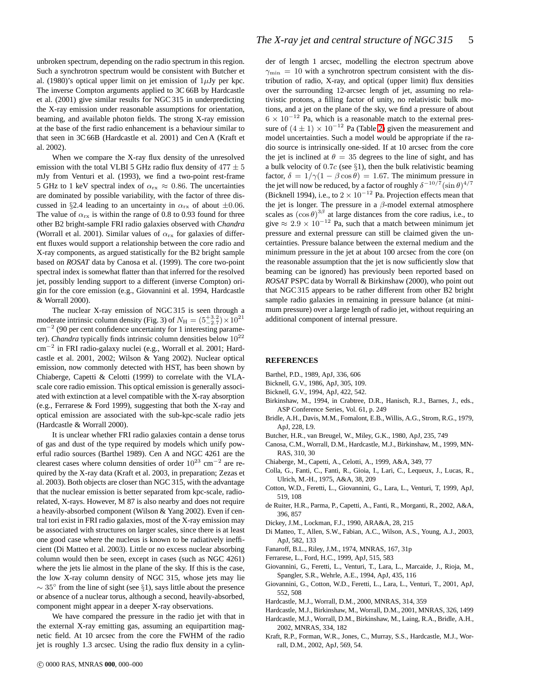unbroken spectrum, depending on the radio spectrum in this region. Such a synchrotron spectrum would be consistent with Butcher et al. (1980)'s optical upper limit on jet emission of  $1\mu$ Jy per kpc. The inverse Compton arguments applied to 3C 66B by Hardcastle et al. (2001) give similar results for NGC 315 in underpredicting the X-ray emission under reasonable assumptions for orientation, beaming, and available photon fields. The strong X-ray emission at the base of the first radio enhancement is a behaviour similar to that seen in 3C 66B (Hardcastle et al. 2001) and Cen A (Kraft et al. 2002).

When we compare the X-ray flux density of the unresolved emission with the total VLBI 5 GHz radio flux density of  $477 \pm 5$ mJy from Venturi et al. (1993), we find a two-point rest-frame 5 GHz to 1 keV spectral index of  $\alpha_{rx} \approx 0.86$ . The uncertainties are dominated by possible variability, with the factor of three discussed in §2.4 leading to an uncertainty in  $\alpha_{rx}$  of about  $\pm 0.06$ . The value of  $\alpha_{rx}$  is within the range of 0.8 to 0.93 found for three other B2 bright-sample FRI radio galaxies observed with *Chandra* (Worrall et al. 2001). Similar values of  $\alpha_{rx}$  for galaxies of different fluxes would support a relationship between the core radio and X-ray components, as argued statistically for the B2 bright sample based on *ROSAT* data by Canosa et al. (1999). The core two-point spectral index is somewhat flatter than that inferred for the resolved jet, possibly lending support to a different (inverse Compton) origin for the core emission (e.g., Giovannini et al. 1994, Hardcastle & Worrall 2000).

The nuclear X-ray emission of NGC 315 is seen through a moderate intrinsic column density (Fig. 3) of  $N_{\rm H} = (5^{+3.2}_{-2.7}) \times 10^{21}$ cm<sup>−</sup><sup>2</sup> (90 per cent confidence uncertainty for 1 interesting parameter). *Chandra* typically finds intrinsic column densities below  $10^{22}$ cm<sup>−</sup><sup>2</sup> in FRI radio-galaxy nuclei (e.g., Worrall et al. 2001; Hardcastle et al. 2001, 2002; Wilson & Yang 2002). Nuclear optical emission, now commonly detected with HST, has been shown by Chiaberge, Capetti & Celotti (1999) to correlate with the VLAscale core radio emission. This optical emission is generally associated with extinction at a level compatible with the X-ray absorption (e.g., Ferrarese & Ford 1999), suggesting that both the X-ray and optical emission are associated with the sub-kpc-scale radio jets (Hardcastle & Worrall 2000).

It is unclear whether FRI radio galaxies contain a dense torus of gas and dust of the type required by models which unify powerful radio sources (Barthel 1989). Cen A and NGC 4261 are the clearest cases where column densities of order  $10^{23}$  cm<sup>-2</sup> are required by the X-ray data (Kraft et al. 2003, in preparation; Zezas et al. 2003). Both objects are closer than NGC 315, with the advantage that the nuclear emission is better separated from kpc-scale, radiorelated, X-rays. However, M 87 is also nearby and does not require a heavily-absorbed component (Wilson & Yang 2002). Even if central tori exist in FRI radio galaxies, most of the X-ray emission may be associated with structures on larger scales, since there is at least one good case where the nucleus is known to be radiatively inefficient (Di Matteo et al. 2003). Little or no excess nuclear absorbing column would then be seen, except in cases (such as NGC 4261) where the jets lie almost in the plane of the sky. If this is the case, the low X-ray column density of NGC 315, whose jets may lie  $\sim$  35 $^{\circ}$  from the line of sight (see §1), says little about the presence or absence of a nuclear torus, although a second, heavily-absorbed, component might appear in a deeper X-ray observations.

We have compared the pressure in the radio jet with that in the external X-ray emitting gas, assuming an equipartition magnetic field. At 10 arcsec from the core the FWHM of the radio jet is roughly 1.3 arcsec. Using the radio flux density in a cylin-

der of length 1 arcsec, modelling the electron spectrum above  $\gamma_{\rm min} = 10$  with a synchrotron spectrum consistent with the distribution of radio, X-ray, and optical (upper limit) flux densities over the surrounding 12-arcsec length of jet, assuming no relativistic protons, a filling factor of unity, no relativistic bulk motions, and a jet on the plane of the sky, we find a pressure of about  $6 \times 10^{-12}$  Pa, which is a reasonable match to the external pressure of  $(4 \pm 1) \times 10^{-12}$  Pa (Table [2\)](#page-3-1) given the measurement and model uncertainties. Such a model would be appropriate if the radio source is intrinsically one-sided. If at 10 arcsec from the core the jet is inclined at  $\theta = 35$  degrees to the line of sight, and has a bulk velocity of 0.7c (see  $\S1$ ), then the bulk relativistic beaming factor,  $\delta = 1/\gamma(1 - \beta \cos \theta) = 1.67$ . The minimum pressure in the jet will now be reduced, by a factor of roughly  $\delta^{-10/7}(\sin \theta)^{4/7}$ (Bicknell 1994), i.e., to  $2 \times 10^{-12}$  Pa. Projection effects mean that the jet is longer. The pressure in a  $\beta$ -model external atmosphere scales as  $(\cos \theta)^{3\beta}$  at large distances from the core radius, i.e., to give  $\approx 2.9 \times 10^{-12}$  Pa, such that a match between minimum jet pressure and external pressure can still be claimed given the uncertainties. Pressure balance between the external medium and the minimum pressure in the jet at about 100 arcsec from the core (on the reasonable assumption that the jet is now sufficiently slow that beaming can be ignored) has previously been reported based on *ROSAT* PSPC data by Worrall & Birkinshaw (2000), who point out that NGC 315 appears to be rather different from other B2 bright sample radio galaxies in remaining in pressure balance (at minimum pressure) over a large length of radio jet, without requiring an additional component of internal pressure.

#### **REFERENCES**

- Barthel, P.D., 1989, ApJ, 336, 606
- Bicknell, G.V., 1986, ApJ, 305, 109.
- Bicknell, G.V., 1994, ApJ, 422, 542.
- Birkinshaw, M., 1994, in Crabtree, D.R., Hanisch, R.J., Barnes, J., eds., ASP Conference Series, Vol. 61, p. 249
- Bridle, A.H., Davis, M.M., Fomalont, E.B., Willis, A.G., Strom, R.G., 1979, ApJ, 228, L9.
- Butcher, H.R., van Breugel, W., Miley, G.K., 1980, ApJ, 235, 749
- Canosa, C.M., Worrall, D.M., Hardcastle, M.J., Birkinshaw, M., 1999, MN-RAS, 310, 30
- Chiaberge, M., Capetti, A., Celotti, A., 1999, A&A, 349, 77
- Colla, G., Fanti, C., Fanti, R., Gioia, I., Lari, C., Lequeux, J., Lucas, R., Ulrich, M.-H., 1975, A&A, 38, 209
- Cotton, W.D., Feretti, L., Giovannini, G., Lara, L., Venturi, T, 1999, ApJ, 519, 108
- de Ruiter, H.R., Parma, P., Capetti, A., Fanti, R., Morganti, R., 2002, A&A, 396, 857
- Dickey, J.M., Lockman, F.J., 1990, ARA&A, 28, 215
- Di Matteo, T., Allen, S.W., Fabian, A.C., Wilson, A.S., Young, A.J., 2003, ApJ, 582, 133
- Fanaroff, B.L., Riley, J.M., 1974, MNRAS, 167, 31p
- Ferrarese, L., Ford, H.C., 1999, ApJ, 515, 583
- Giovannini, G., Feretti, L., Venturi, T., Lara, L., Marcaide, J., Rioja, M., Spangler, S.R., Wehrle, A.E., 1994, ApJ, 435, 116
- Giovannini, G., Cotton, W.D., Feretti, L., Lara, L., Venturi, T., 2001, ApJ, 552, 508
- Hardcastle, M.J., Worrall, D.M., 2000, MNRAS, 314, 359
- Hardcastle, M.J., Birkinshaw, M., Worrall, D.M., 2001, MNRAS, 326, 1499
- Hardcastle, M.J., Worrall, D.M., Birkinshaw, M., Laing, R.A., Bridle, A.H., 2002, MNRAS, 334, 182
- Kraft, R.P., Forman, W.R., Jones, C., Murray, S.S., Hardcastle, M.J., Worrall, D.M., 2002, ApJ, 569, 54.